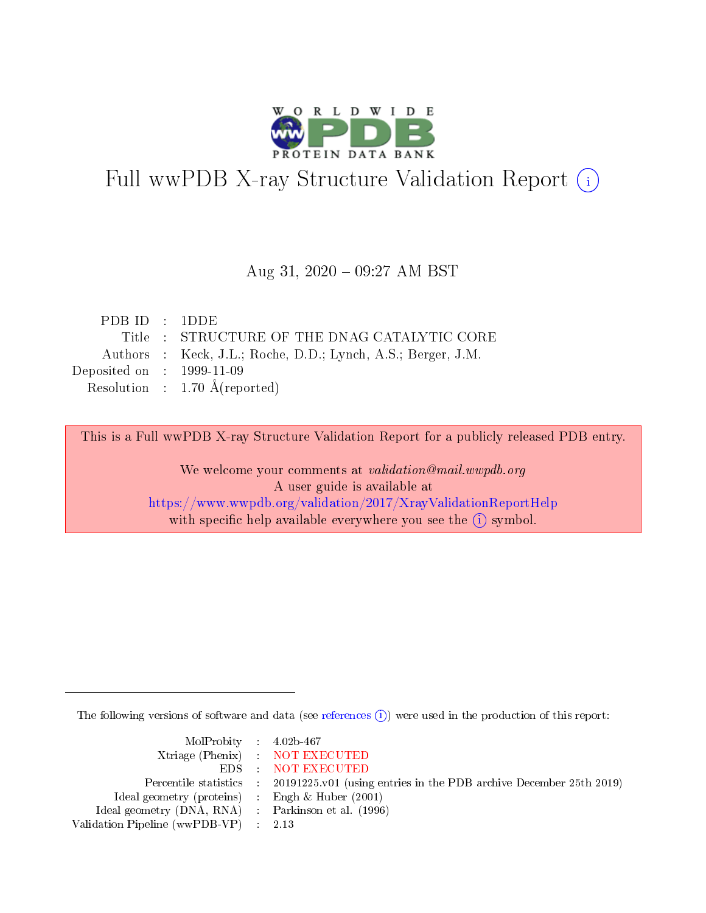

# Full wwPDB X-ray Structure Validation Report (i)

#### Aug 31,  $2020 - 09:27$  AM BST

| PDB ID : $1$ DDE                     |                                                              |
|--------------------------------------|--------------------------------------------------------------|
|                                      | Title : STRUCTURE OF THE DNAG CATALYTIC CORE                 |
|                                      | Authors : Keck, J.L.; Roche, D.D.; Lynch, A.S.; Berger, J.M. |
| Deposited on $\therefore$ 1999-11-09 |                                                              |
|                                      | Resolution : $1.70 \text{ Å}$ (reported)                     |
|                                      |                                                              |

This is a Full wwPDB X-ray Structure Validation Report for a publicly released PDB entry.

We welcome your comments at validation@mail.wwpdb.org A user guide is available at <https://www.wwpdb.org/validation/2017/XrayValidationReportHelp> with specific help available everywhere you see the  $(i)$  symbol.

The following versions of software and data (see [references](https://www.wwpdb.org/validation/2017/XrayValidationReportHelp#references)  $\overline{(1)}$ ) were used in the production of this report:

| $MolProbability$ 4.02b-467                          |                                                                                            |
|-----------------------------------------------------|--------------------------------------------------------------------------------------------|
|                                                     | Xtriage (Phenix) NOT EXECUTED                                                              |
|                                                     | EDS NOT EXECUTED                                                                           |
|                                                     | Percentile statistics : 20191225.v01 (using entries in the PDB archive December 25th 2019) |
| Ideal geometry (proteins) : Engh $\&$ Huber (2001)  |                                                                                            |
| Ideal geometry (DNA, RNA) : Parkinson et al. (1996) |                                                                                            |
| Validation Pipeline (wwPDB-VP) : 2.13               |                                                                                            |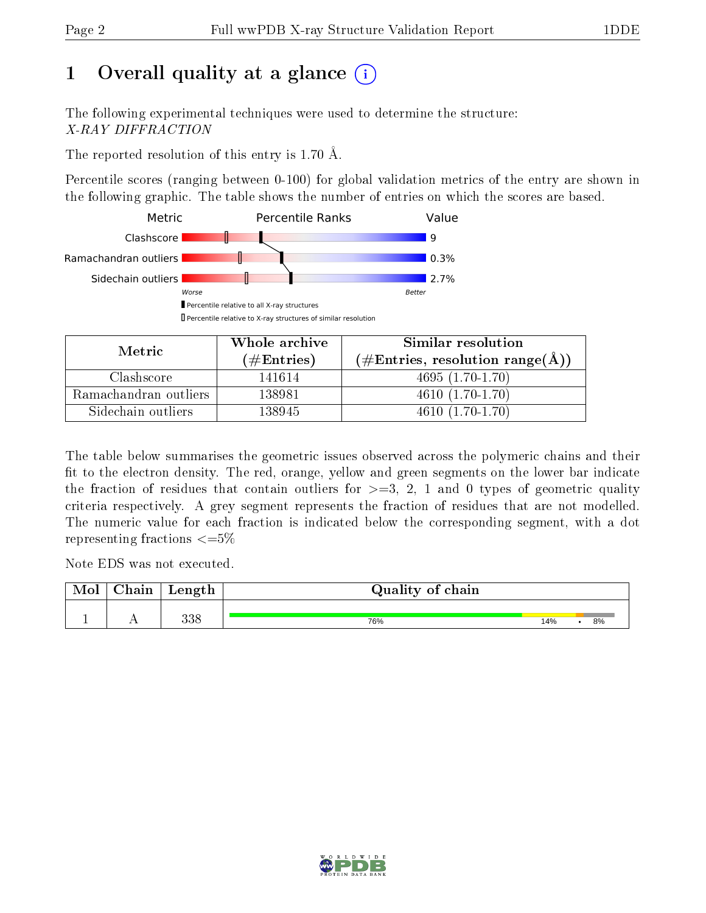# 1 [O](https://www.wwpdb.org/validation/2017/XrayValidationReportHelp#overall_quality)verall quality at a glance  $(i)$

The following experimental techniques were used to determine the structure: X-RAY DIFFRACTION

The reported resolution of this entry is 1.70 Å.

Percentile scores (ranging between 0-100) for global validation metrics of the entry are shown in the following graphic. The table shows the number of entries on which the scores are based.



| Metric                | Whole archive       | Similar resolution<br>$(\#\text{Entries}, \text{resolution range}(\text{\AA})\)$ |  |  |
|-----------------------|---------------------|----------------------------------------------------------------------------------|--|--|
|                       | (# $\rm{Entries}$ ) |                                                                                  |  |  |
| Clashscore            | 141614              | $4695(1.70-1.70)$                                                                |  |  |
| Ramachandran outliers | 138981              | $4610(1.70-1.70)$                                                                |  |  |
| Sidechain outliers    | 138945              | $4610(1.70-1.70)$                                                                |  |  |

The table below summarises the geometric issues observed across the polymeric chains and their fit to the electron density. The red, orange, yellow and green segments on the lower bar indicate the fraction of residues that contain outliers for  $\geq=3$ , 2, 1 and 0 types of geometric quality criteria respectively. A grey segment represents the fraction of residues that are not modelled. The numeric value for each fraction is indicated below the corresponding segment, with a dot representing fractions  $\leq=5\%$ 

Note EDS was not executed.

| Mol | Chain | Length     | Quality of chain |     |  |    |  |  |  |
|-----|-------|------------|------------------|-----|--|----|--|--|--|
|     |       | 990<br>ააი | 76%              | 14% |  | 8% |  |  |  |

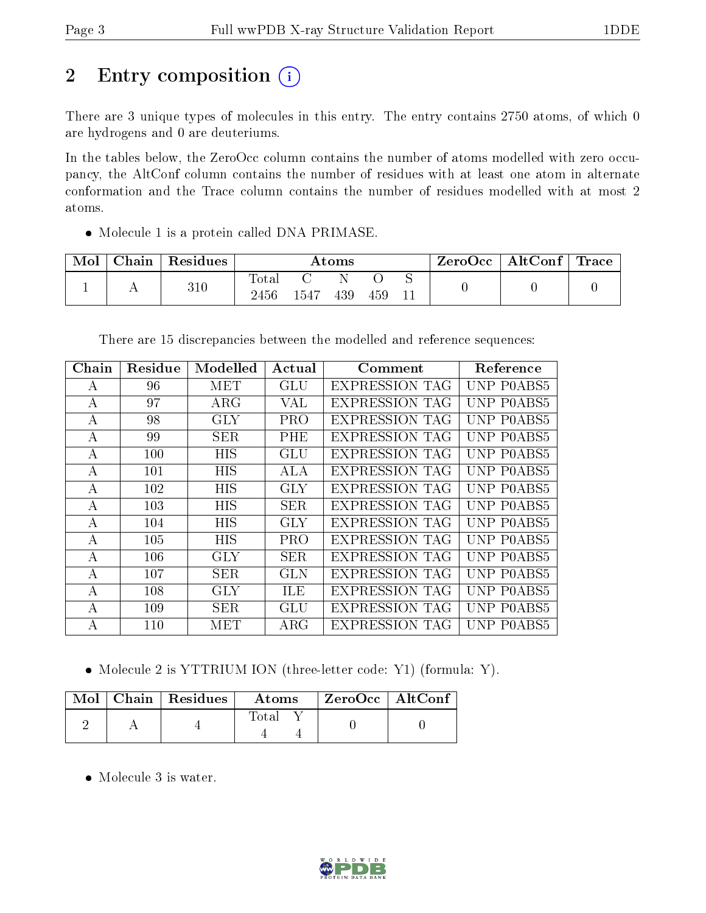# 2 Entry composition (i)

There are 3 unique types of molecules in this entry. The entry contains 2750 atoms, of which 0 are hydrogens and 0 are deuteriums.

In the tables below, the ZeroOcc column contains the number of atoms modelled with zero occupancy, the AltConf column contains the number of residues with at least one atom in alternate conformation and the Trace column contains the number of residues modelled with at most 2 atoms.

• Molecule 1 is a protein called DNA PRIMASE.

| Mol | Chain | Residues | Atoms         |        |     |     | ZeroOcc | $\mid$ AltConf $\mid$ Trace $\mid$ |  |  |
|-----|-------|----------|---------------|--------|-----|-----|---------|------------------------------------|--|--|
|     |       | $310\,$  | Total<br>2456 | 1547 - | 439 | 459 |         |                                    |  |  |

There are 15 discrepancies between the modelled and reference sequences:

| Chain | Residue | Modelled   | Actual     | Comment               | Reference  |
|-------|---------|------------|------------|-----------------------|------------|
| A     | 96      | MET        | GLU        | <b>EXPRESSION TAG</b> | UNP P0ABS5 |
| А     | 97      | $\rm{ARG}$ | VAL        | <b>EXPRESSION TAG</b> | UNP P0ABS5 |
| А     | 98      | <b>GLY</b> | <b>PRO</b> | <b>EXPRESSION TAG</b> | UNP P0ABS5 |
| A     | 99      | <b>SER</b> | PHE        | <b>EXPRESSION TAG</b> | UNP P0ABS5 |
| А     | 100     | HIS        | GLU        | <b>EXPRESSION TAG</b> | UNP P0ABS5 |
| A     | 101     | <b>HIS</b> | ALA        | <b>EXPRESSION TAG</b> | UNP P0ABS5 |
| А     | 102     | <b>HIS</b> | <b>GLY</b> | <b>EXPRESSION TAG</b> | UNP P0ABS5 |
| А     | 103     | HIS        | <b>SER</b> | <b>EXPRESSION TAG</b> | UNP POABS5 |
| А     | 104     | HIS        | <b>GLY</b> | <b>EXPRESSION TAG</b> | UNP POABS5 |
| A     | 105     | <b>HIS</b> | <b>PRO</b> | <b>EXPRESSION TAG</b> | UNP POABS5 |
| А     | 106     | <b>GLY</b> | <b>SER</b> | <b>EXPRESSION TAG</b> | UNP P0ABS5 |
| А     | 107     | <b>SER</b> | GLN        | <b>EXPRESSION TAG</b> | UNP P0ABS5 |
| А     | 108     | <b>GLY</b> | <b>ILE</b> | EXPRESSION TAG        | UNP P0ABS5 |
| А     | 109     | <b>SER</b> | GLU        | <b>EXPRESSION TAG</b> | UNP P0ABS5 |
| А     | 110     | MET        | $\rm{ARG}$ | <b>EXPRESSION TAG</b> | UNP POABS5 |

• Molecule 2 is YTTRIUM ION (three-letter code: Y1) (formula: Y).

|  | $\sqrt{\text{Mol}}$ Chain   Residues $\pm$ | Atoms | $ZeroOcc \mid AltConf \mid$ |  |
|--|--------------------------------------------|-------|-----------------------------|--|
|  |                                            | Total |                             |  |

• Molecule 3 is water.

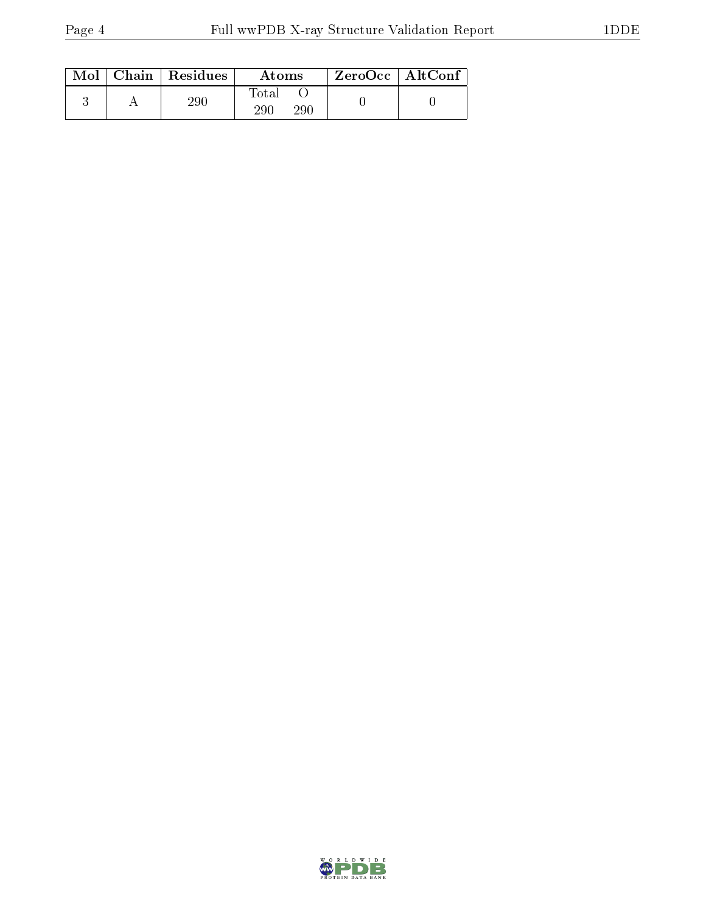|  | $Mol$   Chain   Residues | Atoms                | $ZeroOcc \mid AltConf$ |  |
|--|--------------------------|----------------------|------------------------|--|
|  | $\rm 290$                | Total<br>-290<br>290 |                        |  |

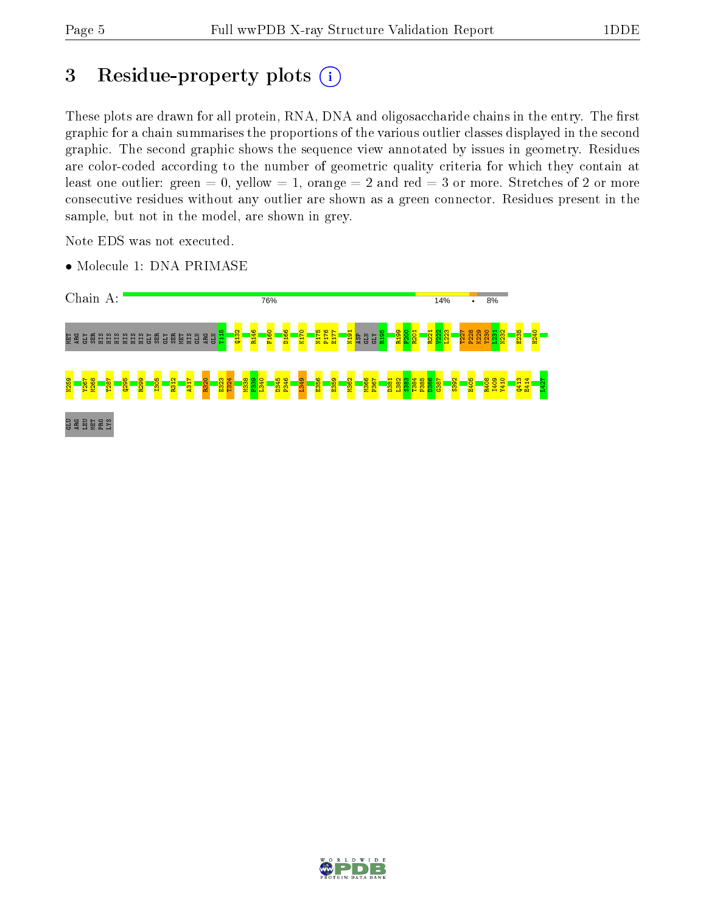# 3 Residue-property plots  $(i)$

These plots are drawn for all protein, RNA, DNA and oligosaccharide chains in the entry. The first graphic for a chain summarises the proportions of the various outlier classes displayed in the second graphic. The second graphic shows the sequence view annotated by issues in geometry. Residues are color-coded according to the number of geometric quality criteria for which they contain at least one outlier: green  $= 0$ , yellow  $= 1$ , orange  $= 2$  and red  $= 3$  or more. Stretches of 2 or more consecutive residues without any outlier are shown as a green connector. Residues present in the sample, but not in the model, are shown in grey.

Note EDS was not executed.

• Molecule 1: DNA PRIMASE



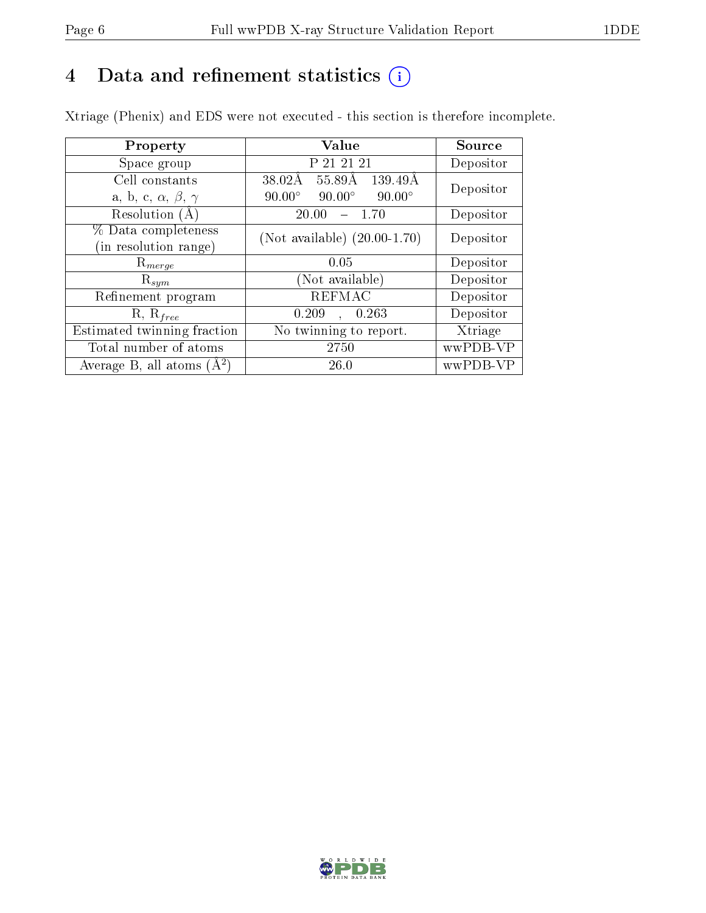# 4 Data and refinement statistics  $(i)$

Xtriage (Phenix) and EDS were not executed - this section is therefore incomplete.

| Property                               | <b>Value</b>                                    | Source    |  |
|----------------------------------------|-------------------------------------------------|-----------|--|
| Space group                            | P 21 21 21                                      | Depositor |  |
| Cell constants                         | $55.89\text{\AA}$<br>38.02Å<br>139.49Å          | Depositor |  |
| a, b, c, $\alpha$ , $\beta$ , $\gamma$ | $90.00^\circ$<br>$90.00^\circ$<br>$90.00^\circ$ |           |  |
| Resolution $(A)$                       | 20.00<br>-1.70                                  | Depositor |  |
| % Data completeness                    | (Not available) $(20.00-1.70)$                  | Depositor |  |
| (in resolution range)                  |                                                 |           |  |
| $\mathrm{R}_{merge}$                   | 0.05                                            | Depositor |  |
| $\mathrm{R}_{sym}$                     | (Not available)                                 | Depositor |  |
| Refinement program                     | <b>REFMAC</b>                                   | Depositor |  |
| $R, R_{free}$                          | 0.263<br>0.209                                  | Depositor |  |
| Estimated twinning fraction            | No twinning to report.                          | Xtriage   |  |
| Total number of atoms                  | 2750                                            | wwPDB-VP  |  |
| Average B, all atoms $(A^2)$           | 26.0                                            | wwPDB-VP  |  |

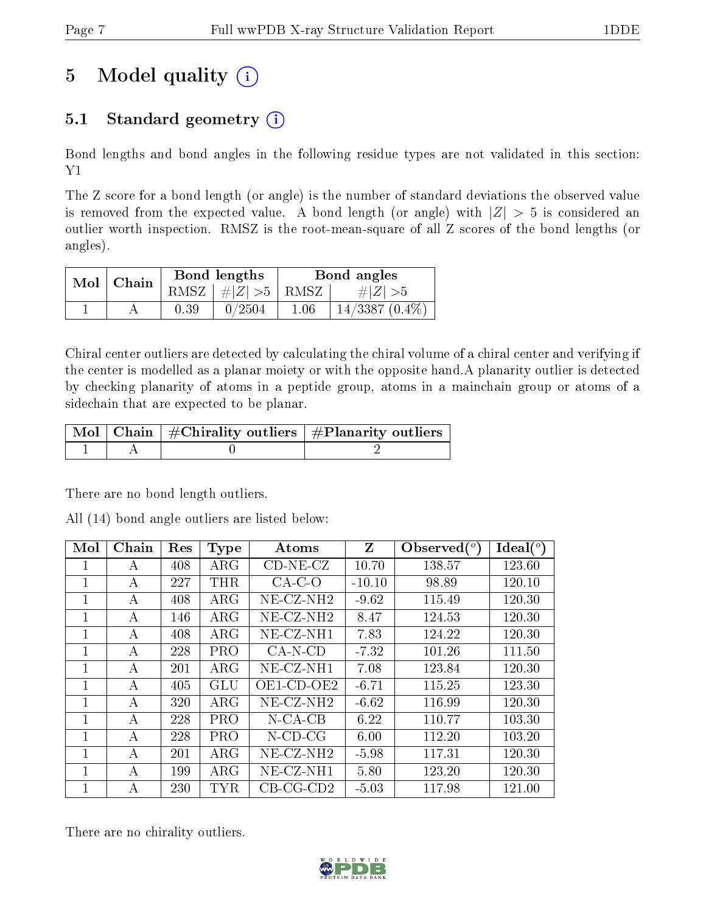# 5 Model quality  $(i)$

## 5.1 Standard geometry  $(i)$

Bond lengths and bond angles in the following residue types are not validated in this section:  ${\rm Y1}$ 

The Z score for a bond length (or angle) is the number of standard deviations the observed value is removed from the expected value. A bond length (or angle) with  $|Z| > 5$  is considered an outlier worth inspection. RMSZ is the root-mean-square of all Z scores of the bond lengths (or angles).

|  | $Mol$   Chain |      | Bond lengths                   | Bond angles |                  |  |
|--|---------------|------|--------------------------------|-------------|------------------|--|
|  |               |      | RMSZ $\mid \#Z \mid >5$   RMSZ |             | $\# Z  > 5$      |  |
|  |               | 0.39 | 0/2504                         | 1.06        | $14/3387(0.4\%)$ |  |

Chiral center outliers are detected by calculating the chiral volume of a chiral center and verifying if the center is modelled as a planar moiety or with the opposite hand.A planarity outlier is detected by checking planarity of atoms in a peptide group, atoms in a mainchain group or atoms of a sidechain that are expected to be planar.

|  | $\mid$ Mol $\mid$ Chain $\mid$ #Chirality outliers $\mid$ #Planarity outliers $\mid$ |
|--|--------------------------------------------------------------------------------------|
|  |                                                                                      |

There are no bond length outliers.

All (14) bond angle outliers are listed below:

| Mol          | Chain | Res | <b>Type</b> | Atoms                 | Z        | Observed $({}^{\circ})$ | Ideal $\binom{c}{c}$ |
|--------------|-------|-----|-------------|-----------------------|----------|-------------------------|----------------------|
| 1            | А     | 408 | $\rm{ARG}$  | $CD-NE- CZ$           | 10.70    | 138.57                  | 123.60               |
| 1            | А     | 227 | <b>THR</b>  | $CA-C-O$              | $-10.10$ | 98.89                   | 120.10               |
| 1            | А     | 408 | $\rm{ARG}$  | NE-CZ-NH <sub>2</sub> | $-9.62$  | 115.49                  | 120.30               |
| 1            | А     | 146 | $\rm{ARG}$  | $NE- CZ-NH2$          | 8.47     | 124.53                  | 120.30               |
| $\mathbf{I}$ | А     | 408 | $\rm{ARG}$  | $NE-CZ-NH1$           | 7.83     | 124.22                  | 120.30               |
| 1            | А     | 228 | <b>PRO</b>  | $CA-N-CD$             | $-7.32$  | 101.26                  | 111.50               |
| $\mathbf{I}$ | А     | 201 | $\rm{ARG}$  | NE-CZ-NH1             | 7.08     | 123.84                  | 120.30               |
| 1            | А     | 405 | GLU         | OE1-CD-OE2            | $-6.71$  | 115.25                  | 123.30               |
| 1            | А     | 320 | $\rm{ARG}$  | $NE-CZ-NH2$           | $-6.62$  | 116.99                  | 120.30               |
| $\mathbf{1}$ | А     | 228 | <b>PRO</b>  | $N$ -CA-CB            | 6.22     | 110.77                  | 103.30               |
| 1            | А     | 228 | <b>PRO</b>  | $N$ -CD-CG            | 6.00     | 112.20                  | 103.20               |
| 1            | А     | 201 | <b>ARG</b>  | $NE- CZ-NH2$          | $-5.98$  | 117.31                  | 120.30               |
| 1            | А     | 199 | $\rm{ARG}$  | $NE-CZ-NH1$           | 5.80     | 123.20                  | 120.30               |
|              | А     | 230 | TYR         | $CB-CG-CD2$           | $-5.03$  | 117.98                  | 121.00               |

There are no chirality outliers.

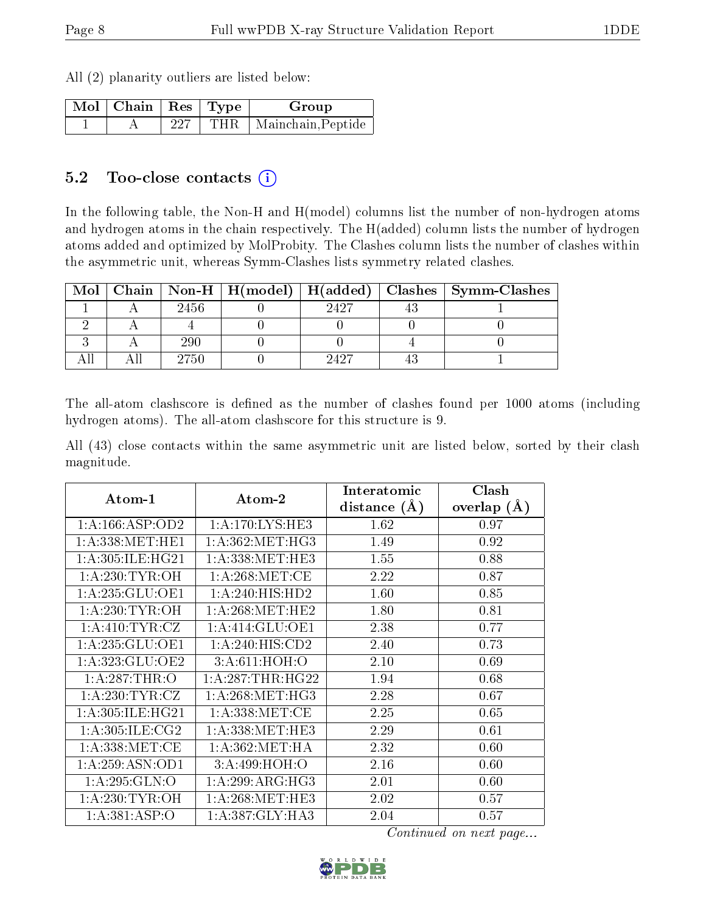All (2) planarity outliers are listed below:

| $\Box$ Mol $\parallel$ Chain $\parallel$ Res $\parallel$ Type $\perp$ |     | Group                    |
|-----------------------------------------------------------------------|-----|--------------------------|
|                                                                       | 227 | THR   Mainchain, Peptide |

#### 5.2 Too-close contacts  $(i)$

In the following table, the Non-H and H(model) columns list the number of non-hydrogen atoms and hydrogen atoms in the chain respectively. The H(added) column lists the number of hydrogen atoms added and optimized by MolProbity. The Clashes column lists the number of clashes within the asymmetric unit, whereas Symm-Clashes lists symmetry related clashes.

|  |      |      | Mol   Chain   Non-H   H(model)   H(added)   Clashes   Symm-Clashes |
|--|------|------|--------------------------------------------------------------------|
|  | 2456 | 9497 |                                                                    |
|  |      |      |                                                                    |
|  | 290  |      |                                                                    |
|  | 2750 | 9497 |                                                                    |

The all-atom clashscore is defined as the number of clashes found per 1000 atoms (including hydrogen atoms). The all-atom clashscore for this structure is 9.

All (43) close contacts within the same asymmetric unit are listed below, sorted by their clash magnitude.

| Atom-1              | Atom-2                                     | Interatomic      | Clash         |
|---------------------|--------------------------------------------|------------------|---------------|
|                     |                                            | distance $(\AA)$ | overlap $(A)$ |
| 1:A:166:ASP:OD2     | 1: A:170: LYS: HE3                         | 1.62             | 0.97          |
| 1: A:338:MET:HE1    | 1: A: 362: MET:HG3                         | 1.49             | 0.92          |
| 1: A:305: ILE: HG21 | 1: A: 338: MET: HE3                        | 1.55             | 0.88          |
| 1: A:230:TYR:OH     | 1: A:268:MET:CE                            | 2.22             | 0.87          |
| 1: A:235: GLU:OE1   | 1:A:240:HIS:HD2                            | 1.60             | 0.85          |
| 1: A:230:TYR:OH     | $1:\overline{A}:268:\text{MET}:\text{HE2}$ | 1.80             | 0.81          |
| 1: A:410: TYR: CZ   | 1: A:414: GLU:OE1                          | 2.38             | 0.77          |
| 1: A:235: GLU:OE1   | 1: A:240: HIS:CD2                          | 2.40             | 0.73          |
| 1:A:323:GLU:OE2     | 3:A:611:HOH:O                              | 2.10             | 0.69          |
| 1: A:287:THR:O      | 1: A:287:THR:HG22                          | 1.94             | 0.68          |
| 1: A:230: TYR: CZ   | 1: A:268: MET:HG3                          | 2.28             | 0.67          |
| 1: A:305: ILE: HG21 | 1: A: 338: MET:CE                          | 2.25             | 0.65          |
| 1: A:305: ILE: CG2  | 1: A: 338: MET: HE3                        | 2.29             | 0.61          |
| 1: A: 338: MET:CE   | 1: A:362: MET:HA                           | 2.32             | 0.60          |
| 1:A:259:ASN:OD1     | 3:A:499:HOH:O                              | 2.16             | 0.60          |
| 1: A:295: GLN:O     | 1: A:299: ARG:HG3                          | 2.01             | 0.60          |
| 1: A:230:TYR:OH     | 1: A:268: MET:HE3                          | 2.02             | 0.57          |
| 1:A:381:ASP:O       | 1: A:387: GLY:HA3                          | 2.04             | 0.57          |

Continued on next page...

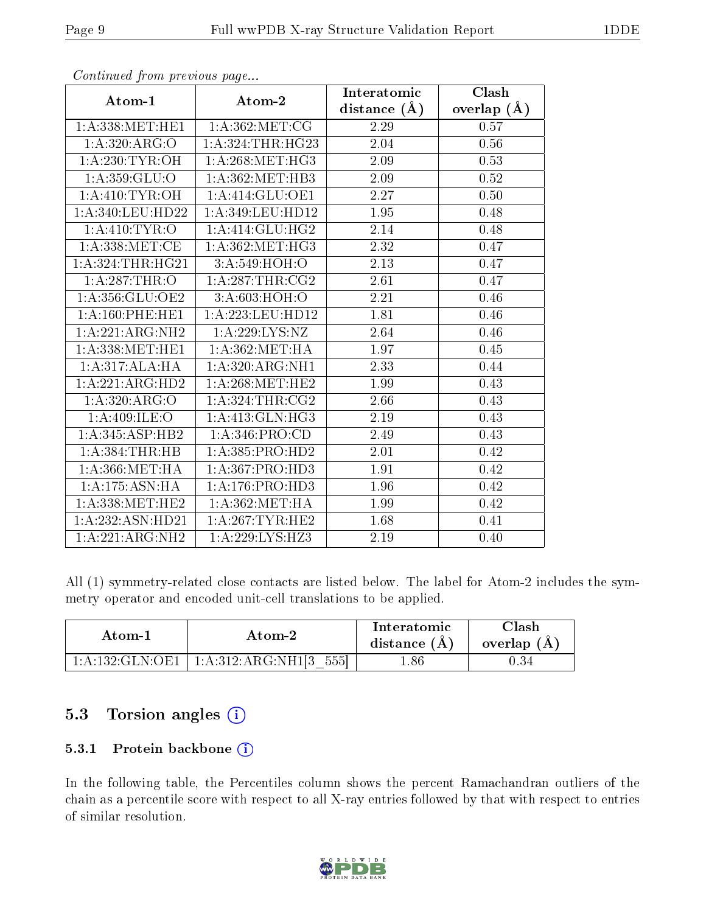|                              | $\mathbf{r}$ $\mathbf{v}$ | Interatomic    | Clash         |
|------------------------------|---------------------------|----------------|---------------|
| Atom-1                       | Atom-2                    | distance $(A)$ | overlap $(A)$ |
| 1: A:338:MET:HE1             | 1: A:362:MET:CG           | 2.29           | 0.57          |
| 1:A.320:ARG:O                | 1: A:324:THR:HG23         | 2.04           | 0.56          |
| 1: A:230: TYR:OH             | 1: A:268:MET:HG3          | 2.09           | 0.53          |
| 1: A: 359: GLU:O             | 1: A:362:MET:HB3          | 2.09           | $0.52\,$      |
| 1: A:410: TYR:OH             | 1:A:414:GLU:OE1           | 2.27           | 0.50          |
| 1:A:340:LEU:HD22             | 1: A:349:LEU:HD12         | 1.95           | 0.48          |
| 1: A:410: TYR:O              | 1:A:414:GLU:HG2           | 2.14           | 0.48          |
| 1: A:338: MET:CE             | 1: A:362:MET:HG3          | 2.32           | 0.47          |
| 1:A:324:THR:HG21             | 3:A:549:HOH:O             | 2.13           | 0.47          |
| $1:A:287$ : THR: O           | 1: A:287:THR:CG2          | 2.61           | 0.47          |
| 1: A:356: GLU:OE2            | 3: A:603:HOH:O            | 2.21           | 0.46          |
| 1:A:160:PHE:HE1              | 1:A:223:LEU:HD12          | 1.81           | 0.46          |
| 1:A:221:ARG:NH2              | 1: A:229: LYS: NZ         | 2.64           | 0.46          |
| 1: A: 338: MET: HE1          | 1: A:362:MET:HA           | 1.97           | 0.45          |
| 1:A:317:ALA:HA               | 1:A:320:ARG:NH1           | 2.33           | 0.44          |
| 1:A:221:ARG:HD2              | 1: A:268:MET:HE2          | 1.99           | 0.43          |
| 1:A:320:ARG:O                | 1: A:324:THR:CG2          | 2.66           | 0.43          |
| 1: A:409: ILE:O              | 1:A:413:GLN:HG3           | 2.19           | 0.43          |
| $1:A:345:\overline{ASP:HB2}$ | 1: A:346: PRO:CD          | 2.49           | 0.43          |
| 1:A:384:THR:HB               | 1: A: 385: PRO: HD2       | 2.01           | 0.42          |
| 1: A: 366: MET: HA           | 1:A:367:PRO:HD3           | 1.91           | 0.42          |
| 1: A: 175: ASN: HA           | 1: A:176: PRO:HD3         | 1.96           | 0.42          |
| 1: A:338:MET:HE2             | 1: A:362: MET:HA          | 1.99           | 0.42          |
| 1:A:232:ASN:HD21             | 1: A:267:TYR:HE2          | 1.68           | 0.41          |
| 1:A:221:ARG:NH2              | 1: A:229: LYS: HZ3        | 2.19           | 0.40          |

Continued from previous page...

All (1) symmetry-related close contacts are listed below. The label for Atom-2 includes the symmetry operator and encoded unit-cell translations to be applied.

| Atom-1 | Atom-2                                                            | Interatomic<br>distance $(A)$ | $\gamma$ lash<br>overlap $(A)$ |
|--------|-------------------------------------------------------------------|-------------------------------|--------------------------------|
|        | $1:\!A:\!132:\!GLN:\!OE1$   $1:\!A:\!312:\!ARG:\!NH1 3$<br>- 5551 | .86                           | ባ 34                           |

## 5.3 Torsion angles (i)

#### 5.3.1 Protein backbone (i)

In the following table, the Percentiles column shows the percent Ramachandran outliers of the chain as a percentile score with respect to all X-ray entries followed by that with respect to entries of similar resolution.

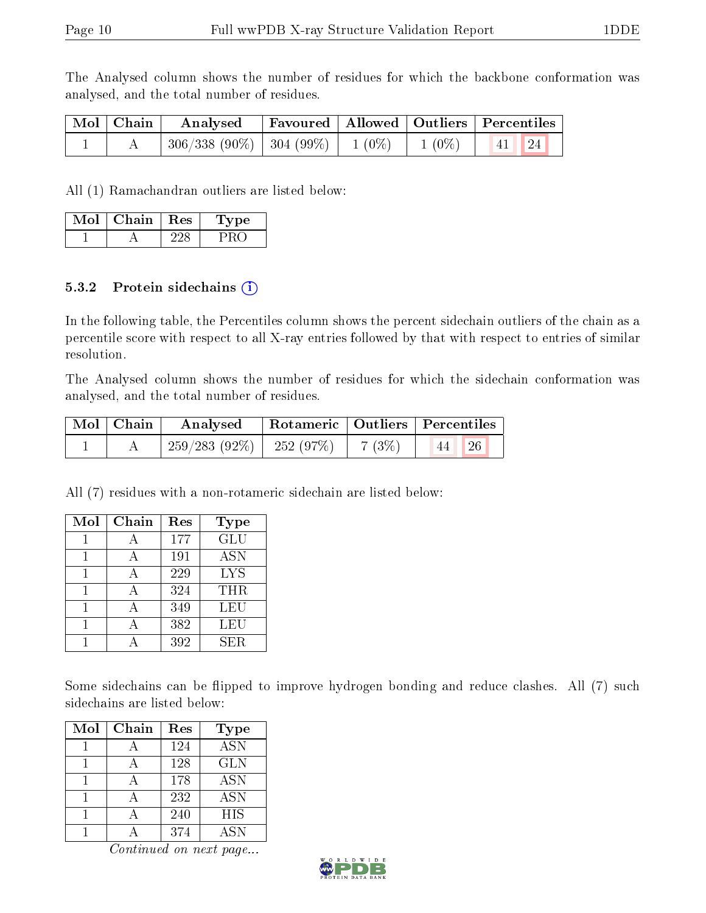The Analysed column shows the number of residues for which the backbone conformation was analysed, and the total number of residues.

| Mol   Chain | Analysed                                          |  | Favoured   Allowed   Outliers   Percentiles |
|-------------|---------------------------------------------------|--|---------------------------------------------|
|             | $306/338$ (90\%)   304 (99\%)   1 (0\%)   1 (0\%) |  | $\vert$ 24<br> 41                           |

All (1) Ramachandran outliers are listed below:

| Mol | Chain | $\operatorname{Res}$ | Tvpe |
|-----|-------|----------------------|------|
|     |       |                      |      |

#### 5.3.2 Protein sidechains  $(i)$

In the following table, the Percentiles column shows the percent sidechain outliers of the chain as a percentile score with respect to all X-ray entries followed by that with respect to entries of similar resolution.

The Analysed column shows the number of residues for which the sidechain conformation was analysed, and the total number of residues.

| Mol   Chain | Analysed                      | Rotameric   Outliers   Percentiles |                                         |           |  |
|-------------|-------------------------------|------------------------------------|-----------------------------------------|-----------|--|
|             | $-259/283(92\%)$ $-252(97\%)$ |                                    | $\begin{pmatrix} 7 & 3\% \end{pmatrix}$ | 126<br>44 |  |

All (7) residues with a non-rotameric sidechain are listed below:

| Mol | Chain | Res | Type       |
|-----|-------|-----|------------|
|     |       | 177 | GLU        |
|     |       | 191 | <b>ASN</b> |
|     |       | 229 | <b>LYS</b> |
|     |       | 324 | <b>THR</b> |
|     |       | 349 | LEU        |
|     |       | 382 | LEU        |
|     |       | 392 | SER.       |

Some sidechains can be flipped to improve hydrogen bonding and reduce clashes. All (7) such sidechains are listed below:

| Mol | Chain | Res | Type             |
|-----|-------|-----|------------------|
|     |       | 124 | $\overline{ASN}$ |
|     |       | 128 | <b>GLN</b>       |
|     |       | 178 | <b>ASN</b>       |
|     |       | 232 | <b>ASN</b>       |
|     |       | 240 | <b>HIS</b>       |
|     |       | 374 | ASN              |

Continued on next page...

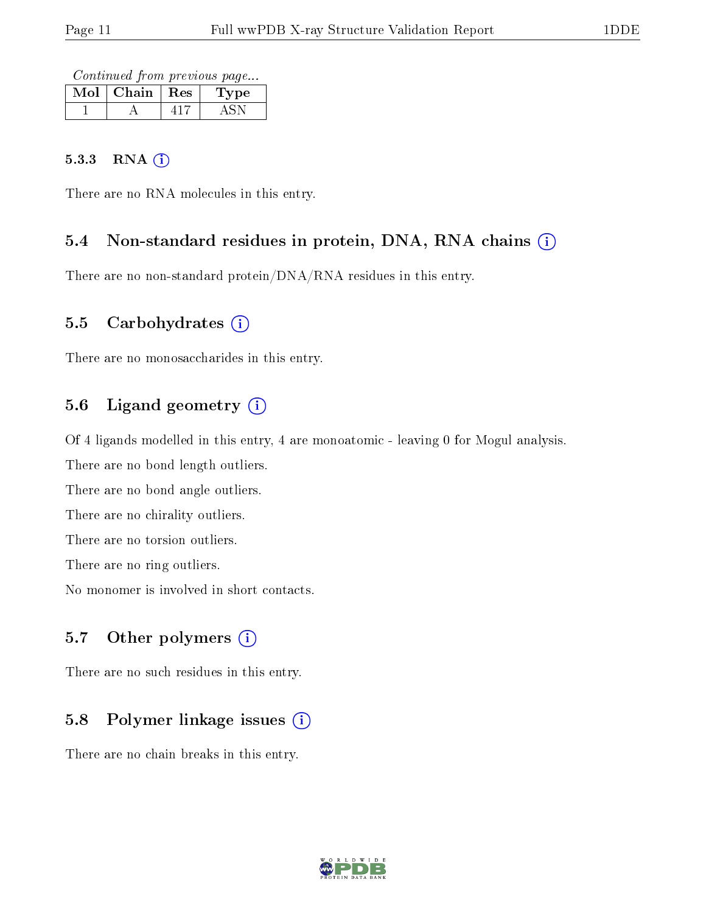Continued from previous page...

| Mol | Chain   Res | Type |
|-----|-------------|------|
|     |             |      |

#### 5.3.3 RNA (i)

There are no RNA molecules in this entry.

#### 5.4 Non-standard residues in protein, DNA, RNA chains (i)

There are no non-standard protein/DNA/RNA residues in this entry.

#### 5.5 Carbohydrates  $(i)$

There are no monosaccharides in this entry.

### 5.6 Ligand geometry  $(i)$

Of 4 ligands modelled in this entry, 4 are monoatomic - leaving 0 for Mogul analysis.

There are no bond length outliers.

There are no bond angle outliers.

There are no chirality outliers.

There are no torsion outliers.

There are no ring outliers.

No monomer is involved in short contacts.

#### 5.7 [O](https://www.wwpdb.org/validation/2017/XrayValidationReportHelp#nonstandard_residues_and_ligands)ther polymers  $(i)$

There are no such residues in this entry.

### 5.8 Polymer linkage issues  $(i)$

There are no chain breaks in this entry.